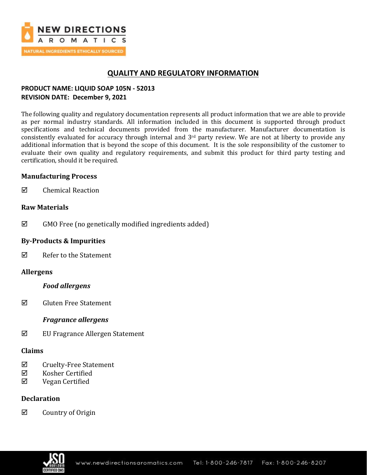

# **QUALITY AND REGULATORY INFORMATION**

## **PRODUCT NAME: LIQUID SOAP 105N - 52013 REVISION DATE: December 9, 2021**

The following quality and regulatory documentation represents all product information that we are able to provide as per normal industry standards. All information included in this document is supported through product specifications and technical documents provided from the manufacturer. Manufacturer documentation is consistently evaluated for accuracy through internal and  $3<sup>rd</sup>$  party review. We are not at liberty to provide any additional information that is beyond the scope of this document. It is the sole responsibility of the customer to evaluate their own quality and regulatory requirements, and submit this product for third party testing and certification, should it be required.

### **Manufacturing Process**

 $\boxtimes$  Chemical Reaction

### **Raw Materials**

 $\boxtimes$  GMO Free (no genetically modified ingredients added)

### **By-Products & Impurities**

Refer to the Statement

## **Allergens**

### *Food allergens*

 $\boxtimes$  Gluten Free Statement

## *Fragrance allergens*

EU Fragrance Allergen Statement

### **Claims**

- $\Phi$  Cruelty-Free Statement
- Kosher Certified
- $\nabla$  Vegan Certified

## **Declaration**

 $\boxtimes$  Country of Origin

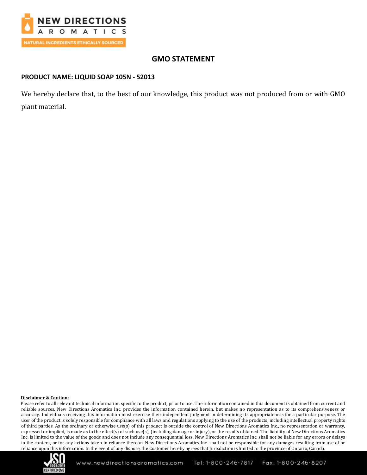

# **GMO STATEMENT**

### **PRODUCT NAME: LIQUID SOAP 105N - 52013**

We hereby declare that, to the best of our knowledge, this product was not produced from or with GMO plant material.

#### **Disclaimer & Caution:**

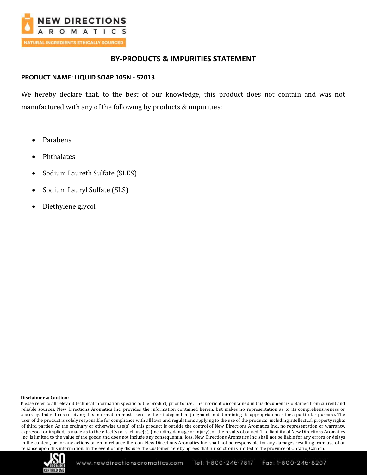

# **BY-PRODUCTS & IMPURITIES STATEMENT**

### **PRODUCT NAME: LIQUID SOAP 105N - 52013**

We hereby declare that, to the best of our knowledge, this product does not contain and was not manufactured with any of the following by products & impurities:

- Parabens
- Phthalates
- Sodium Laureth Sulfate (SLES)
- Sodium Lauryl Sulfate (SLS)
- Diethylene glycol

#### **Disclaimer & Caution:**

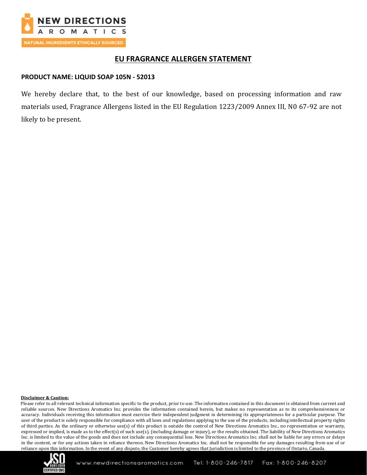

## **EU FRAGRANCE ALLERGEN STATEMENT**

#### **PRODUCT NAME: LIQUID SOAP 105N - 52013**

We hereby declare that, to the best of our knowledge, based on processing information and raw materials used, Fragrance Allergens listed in the EU Regulation 1223/2009 Annex III, N0 67-92 are not likely to be present.

#### **Disclaimer & Caution:**

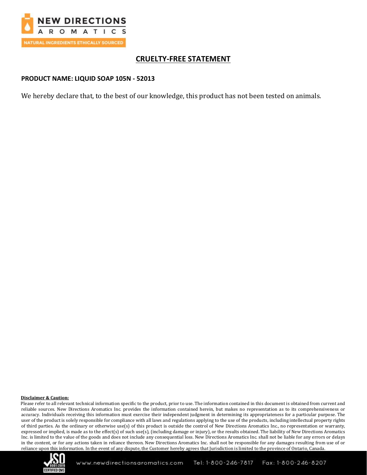

# **CRUELTY-FREE STATEMENT**

### **PRODUCT NAME: LIQUID SOAP 105N - 52013**

We hereby declare that, to the best of our knowledge, this product has not been tested on animals.

#### **Disclaimer & Caution:**

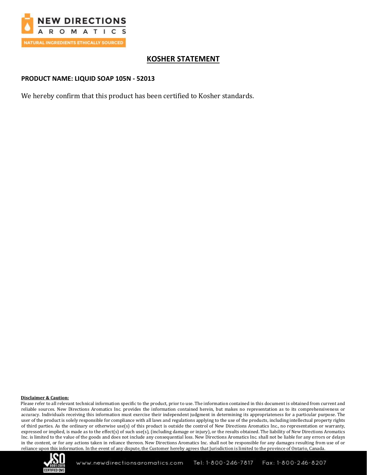

# **KOSHER STATEMENT**

### **PRODUCT NAME: LIQUID SOAP 105N - 52013**

We hereby confirm that this product has been certified to Kosher standards.

#### **Disclaimer & Caution:**

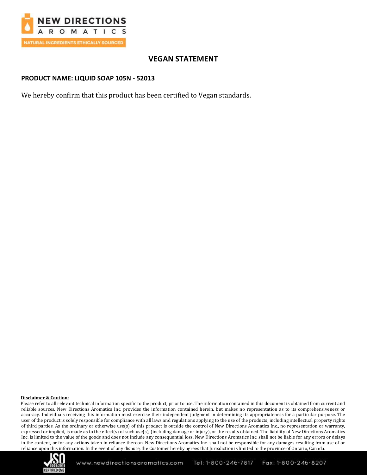

# **VEGAN STATEMENT**

### **PRODUCT NAME: LIQUID SOAP 105N - 52013**

We hereby confirm that this product has been certified to Vegan standards.

#### **Disclaimer & Caution:**